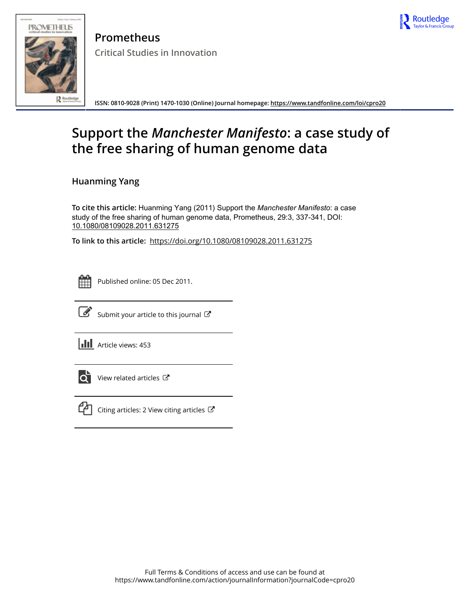



**Prometheus Critical Studies in Innovation**

**ISSN: 0810-9028 (Print) 1470-1030 (Online) Journal homepage:<https://www.tandfonline.com/loi/cpro20>**

# **Support the** *Manchester Manifesto***: a case study of the free sharing of human genome data**

**Huanming Yang**

To cite this article: Huanming Yang (2011) Support the *Manchester Manifesto*: a case study of the free sharing of human genome data, Prometheus, 29:3, 337-341, DOI: [10.1080/08109028.2011.631275](https://www.tandfonline.com/action/showCitFormats?doi=10.1080/08109028.2011.631275)

**To link to this article:** <https://doi.org/10.1080/08109028.2011.631275>



Published online: 05 Dec 2011.



 $\overrightarrow{S}$  [Submit your article to this journal](https://www.tandfonline.com/action/authorSubmission?journalCode=cpro20&show=instructions)  $\overrightarrow{S}$ 

**III** Article views: 453



 $\overrightarrow{Q}$  [View related articles](https://www.tandfonline.com/doi/mlt/10.1080/08109028.2011.631275)  $\overrightarrow{C}$ 



 $\mathbb{C}$  [Citing articles: 2 View citing articles](https://www.tandfonline.com/doi/citedby/10.1080/08109028.2011.631275#tabModule)  $\mathbb{C}$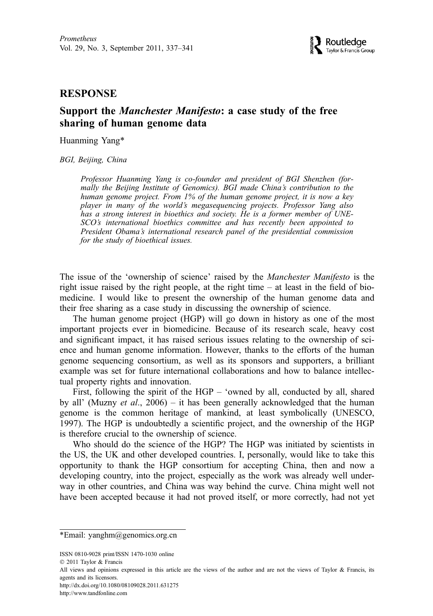## **RESPONSE**

## Support the Manchester Manifesto: a case study of the free sharing of human genome data

Huanming Yang\*

BGI, Beijing, China

Professor Huanming Yang is co-founder and president of BGI Shenzhen (formally the Beijing Institute of Genomics). BGI made China's contribution to the human genome project. From 1% of the human genome project, it is now a key player in many of the world's megasequencing projects. Professor Yang also has a strong interest in bioethics and society. He is a former member of UNE-SCO's international bioethics committee and has recently been appointed to President Obama's international research panel of the presidential commission for the study of bioethical issues.

The issue of the 'ownership of science' raised by the Manchester Manifesto is the right issue raised by the right people, at the right time – at least in the field of biomedicine. I would like to present the ownership of the human genome data and their free sharing as a case study in discussing the ownership of science.

The human genome project (HGP) will go down in history as one of the most important projects ever in biomedicine. Because of its research scale, heavy cost and significant impact, it has raised serious issues relating to the ownership of science and human genome information. However, thanks to the efforts of the human genome sequencing consortium, as well as its sponsors and supporters, a brilliant example was set for future international collaborations and how to balance intellectual property rights and innovation.

First, following the spirit of the HGP – 'owned by all, conducted by all, shared by all' (Muzny *et al.*, 2006) – it has been generally acknowledged that the human genome is the common heritage of mankind, at least symbolically (UNESCO, 1997). The HGP is undoubtedly a scientific project, and the ownership of the HGP is therefore crucial to the ownership of science.

Who should do the science of the HGP? The HGP was initiated by scientists in the US, the UK and other developed countries. I, personally, would like to take this opportunity to thank the HGP consortium for accepting China, then and now a developing country, into the project, especially as the work was already well underway in other countries, and China was way behind the curve. China might well not have been accepted because it had not proved itself, or more correctly, had not yet

ISSN 0810-9028 print/ISSN 1470-1030 online

http://dx.doi.org/10.1080/08109028.2011.631275

http://www.tandfonline.com

<sup>\*</sup>Email: yanghm@genomics.org.cn

2011 Taylor & Francis

All views and opinions expressed in this article are the views of the author and are not the views of Taylor & Francis, its agents and its licensors.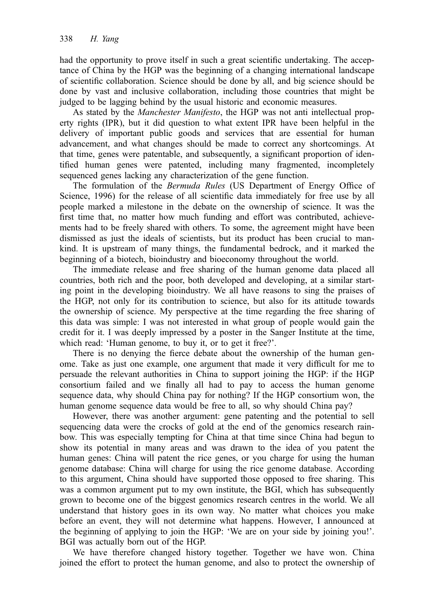had the opportunity to prove itself in such a great scientific undertaking. The acceptance of China by the HGP was the beginning of a changing international landscape of scientific collaboration. Science should be done by all, and big science should be done by vast and inclusive collaboration, including those countries that might be judged to be lagging behind by the usual historic and economic measures.

As stated by the *Manchester Manifesto*, the HGP was not anti intellectual property rights (IPR), but it did question to what extent IPR have been helpful in the delivery of important public goods and services that are essential for human advancement, and what changes should be made to correct any shortcomings. At that time, genes were patentable, and subsequently, a significant proportion of identified human genes were patented, including many fragmented, incompletely sequenced genes lacking any characterization of the gene function.

The formulation of the Bermuda Rules (US Department of Energy Office of Science, 1996) for the release of all scientific data immediately for free use by all people marked a milestone in the debate on the ownership of science. It was the first time that, no matter how much funding and effort was contributed, achievements had to be freely shared with others. To some, the agreement might have been dismissed as just the ideals of scientists, but its product has been crucial to mankind. It is upstream of many things, the fundamental bedrock, and it marked the beginning of a biotech, bioindustry and bioeconomy throughout the world.

The immediate release and free sharing of the human genome data placed all countries, both rich and the poor, both developed and developing, at a similar starting point in the developing bioindustry. We all have reasons to sing the praises of the HGP, not only for its contribution to science, but also for its attitude towards the ownership of science. My perspective at the time regarding the free sharing of this data was simple: I was not interested in what group of people would gain the credit for it. I was deeply impressed by a poster in the Sanger Institute at the time, which read: 'Human genome, to buy it, or to get it free?'.

There is no denying the fierce debate about the ownership of the human genome. Take as just one example, one argument that made it very difficult for me to persuade the relevant authorities in China to support joining the HGP: if the HGP consortium failed and we finally all had to pay to access the human genome sequence data, why should China pay for nothing? If the HGP consortium won, the human genome sequence data would be free to all, so why should China pay?

However, there was another argument: gene patenting and the potential to sell sequencing data were the crocks of gold at the end of the genomics research rainbow. This was especially tempting for China at that time since China had begun to show its potential in many areas and was drawn to the idea of you patent the human genes: China will patent the rice genes, or you charge for using the human genome database: China will charge for using the rice genome database. According to this argument, China should have supported those opposed to free sharing. This was a common argument put to my own institute, the BGI, which has subsequently grown to become one of the biggest genomics research centres in the world. We all understand that history goes in its own way. No matter what choices you make before an event, they will not determine what happens. However, I announced at the beginning of applying to join the HGP: 'We are on your side by joining you!'. BGI was actually born out of the HGP.

We have therefore changed history together. Together we have won. China joined the effort to protect the human genome, and also to protect the ownership of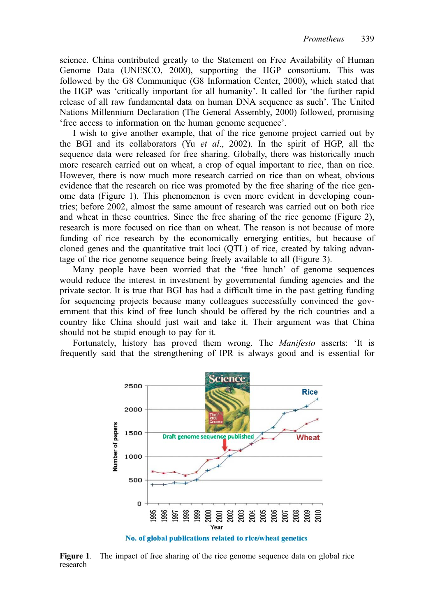science. China contributed greatly to the Statement on Free Availability of Human Genome Data (UNESCO, 2000), supporting the HGP consortium. This was followed by the G8 Communique (G8 Information Center, 2000), which stated that the HGP was 'critically important for all humanity'. It called for 'the further rapid release of all raw fundamental data on human DNA sequence as such'. The United Nations Millennium Declaration (The General Assembly, 2000) followed, promising 'free access to information on the human genome sequence'.

I wish to give another example, that of the rice genome project carried out by the BGI and its collaborators (Yu et al., 2002). In the spirit of HGP, all the sequence data were released for free sharing. Globally, there was historically much more research carried out on wheat, a crop of equal important to rice, than on rice. However, there is now much more research carried on rice than on wheat, obvious evidence that the research on rice was promoted by the free sharing of the rice genome data (Figure 1). This phenomenon is even more evident in developing countries; before 2002, almost the same amount of research was carried out on both rice and wheat in these countries. Since the free sharing of the rice genome (Figure 2), research is more focused on rice than on wheat. The reason is not because of more funding of rice research by the economically emerging entities, but because of cloned genes and the quantitative trait loci (QTL) of rice, created by taking advantage of the rice genome sequence being freely available to all (Figure 3).

Many people have been worried that the 'free lunch' of genome sequences would reduce the interest in investment by governmental funding agencies and the private sector. It is true that BGI has had a difficult time in the past getting funding for sequencing projects because many colleagues successfully convinced the government that this kind of free lunch should be offered by the rich countries and a country like China should just wait and take it. Their argument was that China should not be stupid enough to pay for it.

Fortunately, history has proved them wrong. The Manifesto asserts: 'It is frequently said that the strengthening of IPR is always good and is essential for



Figure 1. The impact of free sharing of the rice genome sequence data on global rice research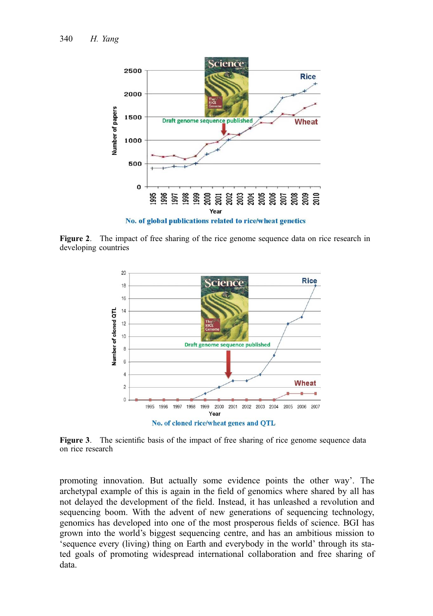

Figure 2. The impact of free sharing of the rice genome sequence data on rice research in developing countries



Figure 3. The scientific basis of the impact of free sharing of rice genome sequence data on rice research

promoting innovation. But actually some evidence points the other way'. The archetypal example of this is again in the field of genomics where shared by all has not delayed the development of the field. Instead, it has unleashed a revolution and sequencing boom. With the advent of new generations of sequencing technology, genomics has developed into one of the most prosperous fields of science. BGI has grown into the world's biggest sequencing centre, and has an ambitious mission to 'sequence every (living) thing on Earth and everybody in the world' through its stated goals of promoting widespread international collaboration and free sharing of data.